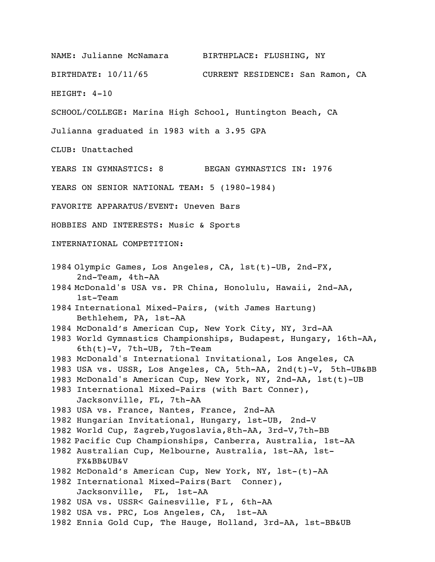NAME: Julianne McNamara BIRTHPLACE: FLUSHING, NY BIRTHDATE: 10/11/65 CURRENT RESIDENCE: San Ramon, CA HEIGHT: 4-10 SCHOOL/COLLEGE: Marina High School, Huntington Beach, CA Julianna graduated in 1983 with a 3.95 GPA CLUB: Unattached YEARS IN GYMNASTICS: 8 BEGAN GYMNASTICS IN: 1976 YEARS ON SENIOR NATIONAL TEAM: 5 (1980-1984) FAVORITE APPARATUS/EVENT: Uneven Bars HOBBIES AND INTERESTS: Music & Sports INTERNATIONAL COMPETITION: 1984 Olympic Games, Los Angeles, CA, lst(t)-UB, 2nd-FX, 2nd-Team, 4th-AA 1984 McDonald's USA vs. PR China, Honolulu, Hawaii, 2nd-AA, 1st-Team 1984 International Mixed-Pairs, (with James Hartung) Bethlehem, PA, 1st-AA 1984 McDonald's American Cup, New York City, NY, 3rd-AA 1983 World Gymnastics Championships, Budapest, Hungary, 16th-AA, 6th(t)-V, 7th-UB, 7th-Team 1983 McDonald's International Invitational, Los Angeles, CA 1983 USA vs. USSR, Los Angeles, CA, 5th-AA, 2nd(t)-V, 5th-UB&BB 1983 McDonald's American Cup, New York, NY, 2nd-AA, lst(t)-UB 1983 International Mixed-Pairs (with Bart Conner), Jacksonville, FL, 7th-AA 1983 USA vs. France, Nantes, France, 2nd-AA 1982 Hungarian Invitational, Hungary, lst-UB, 2nd-V 1982 World Cup, Zagreb,Yugoslavia,8th-AA, 3rd-V,7th-BB 1982 Pacific Cup Championships, Canberra, Australia, 1st-AA 1982 Australian Cup, Melbourne, Australia, 1st-AA, lst-FX&BB&UB&V 1982 McDonald's American Cup, New York, NY, lst-(t)-AA 1982 International Mixed-Pairs(Bart Conner), Jacksonville, FL, 1st-AA 1982 USA vs. USSR< Gainesville, FL, 6th-AA 1982 USA vs. PRC, Los Angeles, CA, 1st-AA 1982 Ennia Gold Cup, The Hauge, Holland, 3rd-AA, lst-BB&UB